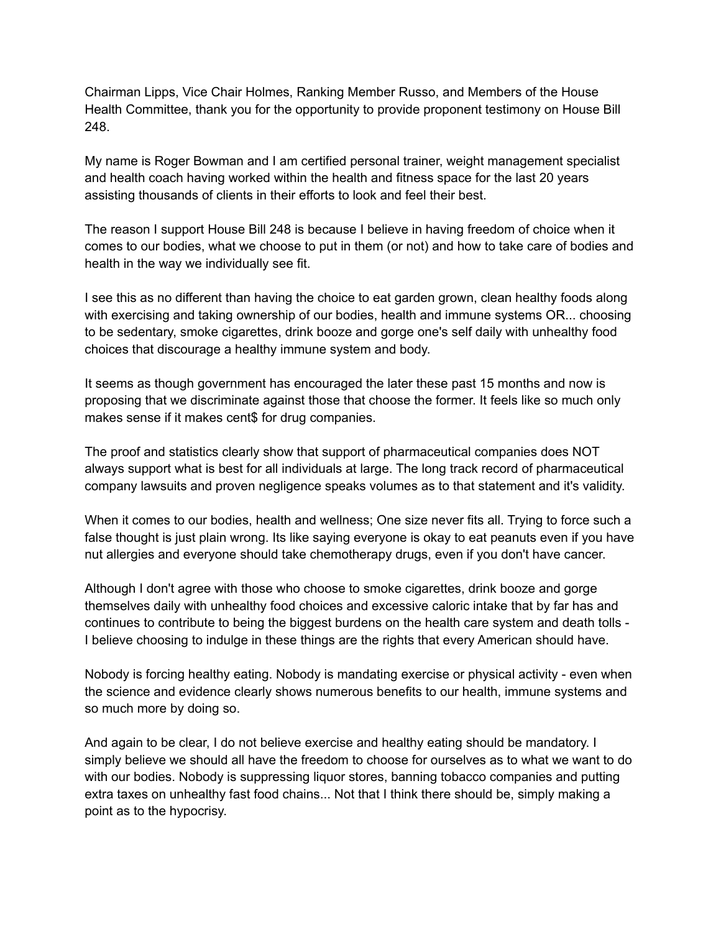Chairman Lipps, Vice Chair Holmes, Ranking Member Russo, and Members of the House Health Committee, thank you for the opportunity to provide proponent testimony on House Bill 248.

My name is Roger Bowman and I am certified personal trainer, weight management specialist and health coach having worked within the health and fitness space for the last 20 years assisting thousands of clients in their efforts to look and feel their best.

The reason I support House Bill 248 is because I believe in having freedom of choice when it comes to our bodies, what we choose to put in them (or not) and how to take care of bodies and health in the way we individually see fit.

I see this as no different than having the choice to eat garden grown, clean healthy foods along with exercising and taking ownership of our bodies, health and immune systems OR... choosing to be sedentary, smoke cigarettes, drink booze and gorge one's self daily with unhealthy food choices that discourage a healthy immune system and body.

It seems as though government has encouraged the later these past 15 months and now is proposing that we discriminate against those that choose the former. It feels like so much only makes sense if it makes cent\$ for drug companies.

The proof and statistics clearly show that support of pharmaceutical companies does NOT always support what is best for all individuals at large. The long track record of pharmaceutical company lawsuits and proven negligence speaks volumes as to that statement and it's validity.

When it comes to our bodies, health and wellness; One size never fits all. Trying to force such a false thought is just plain wrong. Its like saying everyone is okay to eat peanuts even if you have nut allergies and everyone should take chemotherapy drugs, even if you don't have cancer.

Although I don't agree with those who choose to smoke cigarettes, drink booze and gorge themselves daily with unhealthy food choices and excessive caloric intake that by far has and continues to contribute to being the biggest burdens on the health care system and death tolls - I believe choosing to indulge in these things are the rights that every American should have.

Nobody is forcing healthy eating. Nobody is mandating exercise or physical activity - even when the science and evidence clearly shows numerous benefits to our health, immune systems and so much more by doing so.

And again to be clear, I do not believe exercise and healthy eating should be mandatory. I simply believe we should all have the freedom to choose for ourselves as to what we want to do with our bodies. Nobody is suppressing liquor stores, banning tobacco companies and putting extra taxes on unhealthy fast food chains... Not that I think there should be, simply making a point as to the hypocrisy.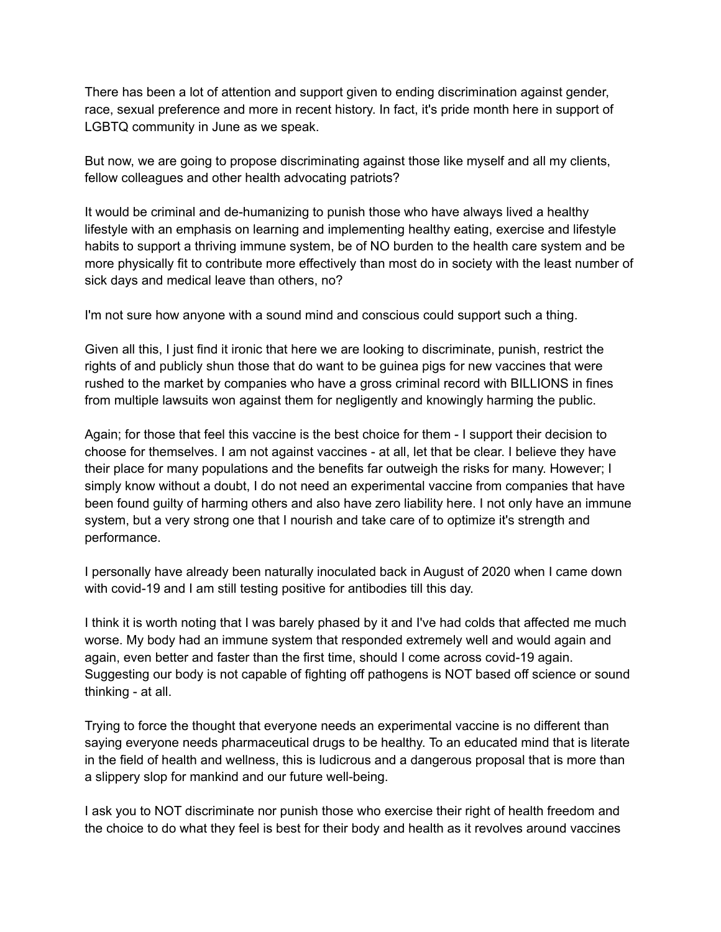There has been a lot of attention and support given to ending discrimination against gender, race, sexual preference and more in recent history. In fact, it's pride month here in support of LGBTQ community in June as we speak.

But now, we are going to propose discriminating against those like myself and all my clients, fellow colleagues and other health advocating patriots?

It would be criminal and de-humanizing to punish those who have always lived a healthy lifestyle with an emphasis on learning and implementing healthy eating, exercise and lifestyle habits to support a thriving immune system, be of NO burden to the health care system and be more physically fit to contribute more effectively than most do in society with the least number of sick days and medical leave than others, no?

I'm not sure how anyone with a sound mind and conscious could support such a thing.

Given all this, I just find it ironic that here we are looking to discriminate, punish, restrict the rights of and publicly shun those that do want to be guinea pigs for new vaccines that were rushed to the market by companies who have a gross criminal record with BILLIONS in fines from multiple lawsuits won against them for negligently and knowingly harming the public.

Again; for those that feel this vaccine is the best choice for them - I support their decision to choose for themselves. I am not against vaccines - at all, let that be clear. I believe they have their place for many populations and the benefits far outweigh the risks for many. However; I simply know without a doubt, I do not need an experimental vaccine from companies that have been found guilty of harming others and also have zero liability here. I not only have an immune system, but a very strong one that I nourish and take care of to optimize it's strength and performance.

I personally have already been naturally inoculated back in August of 2020 when I came down with covid-19 and I am still testing positive for antibodies till this day.

I think it is worth noting that I was barely phased by it and I've had colds that affected me much worse. My body had an immune system that responded extremely well and would again and again, even better and faster than the first time, should I come across covid-19 again. Suggesting our body is not capable of fighting off pathogens is NOT based off science or sound thinking - at all.

Trying to force the thought that everyone needs an experimental vaccine is no different than saying everyone needs pharmaceutical drugs to be healthy. To an educated mind that is literate in the field of health and wellness, this is ludicrous and a dangerous proposal that is more than a slippery slop for mankind and our future well-being.

I ask you to NOT discriminate nor punish those who exercise their right of health freedom and the choice to do what they feel is best for their body and health as it revolves around vaccines